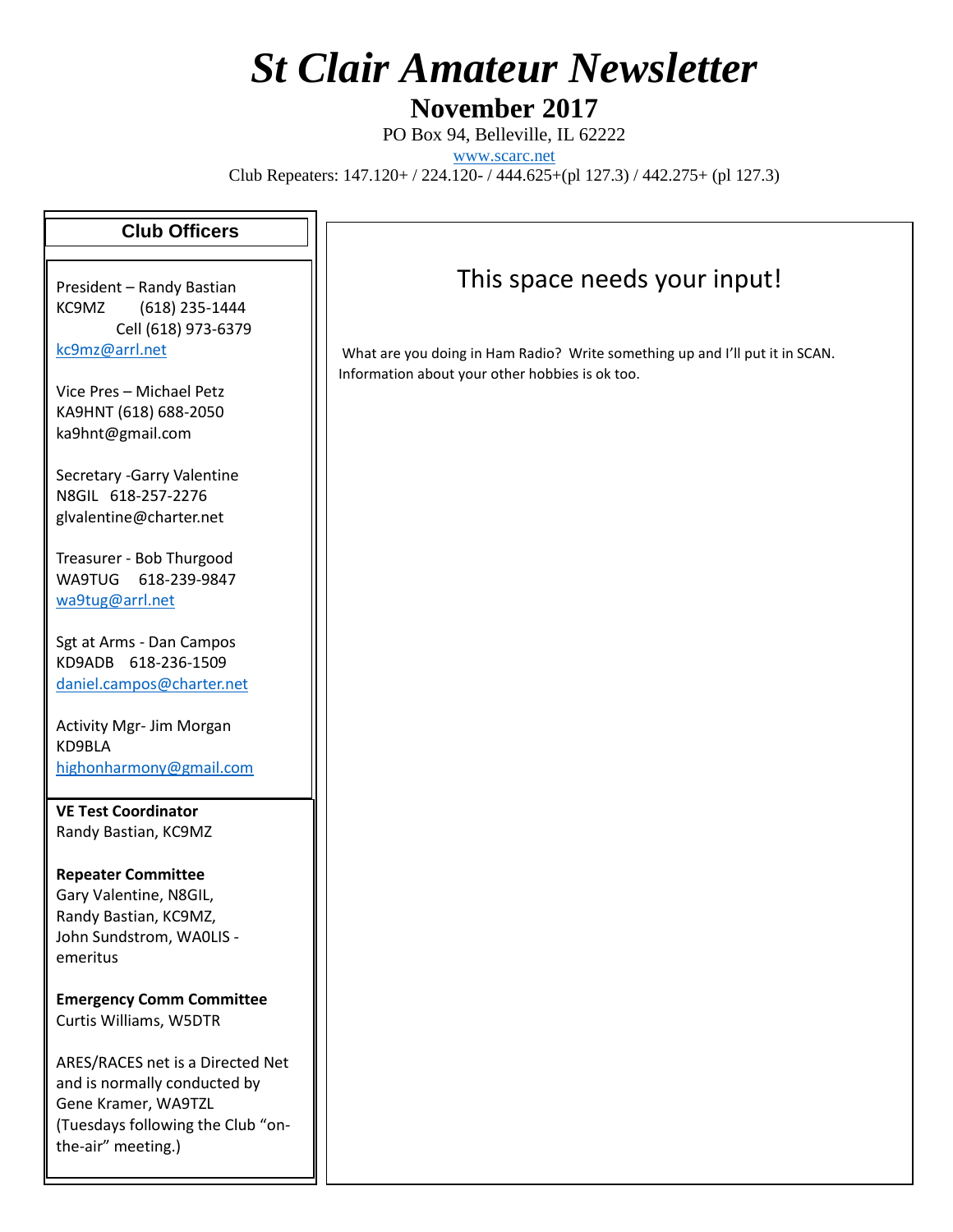# *St Clair Amateur Newsletter*

**November 2017**

PO Box 94, Belleville, IL 62222 [www.scarc.net](http://www.scarc.net/) Club Repeaters: 147.120+ / 224.120- / 444.625+(pl 127.3) / 442.275+ (pl 127.3)

#### **Club Officers**

President – Randy Bastian KC9MZ (618) 235-1444 Cell (618) 973-6379 [kc9mz@arrl.net](mailto:kc9mz@arrl.net)

Vice Pres – Michael Petz KA9HNT (618) 688-2050 ka9hnt@gmail.com

Secretary -Garry Valentine N8GIL 618-257-2276 glvalentine@charter.net

Treasurer - Bob Thurgood WA9TUG 618-239-9847 [wa9tug@arrl.net](mailto:wa9tug@arrl.net)

Sgt at Arms - Dan Campos KD9ADB 618-236-1509 [daniel.campos@charter.net](mailto:daniel.campos@charter.net)

Activity Mgr- Jim Morgan KD9BLA [highonharmony@gmail.com](mailto:highonharmony@gmail.com)

**VE Test Coordinator** Randy Bastian, KC9MZ

**Repeater Committee** Gary Valentine, N8GIL, Randy Bastian, KC9MZ, John Sundstrom, WA0LIS emeritus

**Emergency Comm Committee** Curtis Williams, W5DTR

ARES/RACES net is a Directed Net and is normally conducted by Gene Kramer, WA9TZL (Tuesdays following the Club "onthe-air" meeting.)

#### This space needs your input!

What are you doing in Ham Radio? Write something up and I'll put it in SCAN. Information about your other hobbies is ok too.